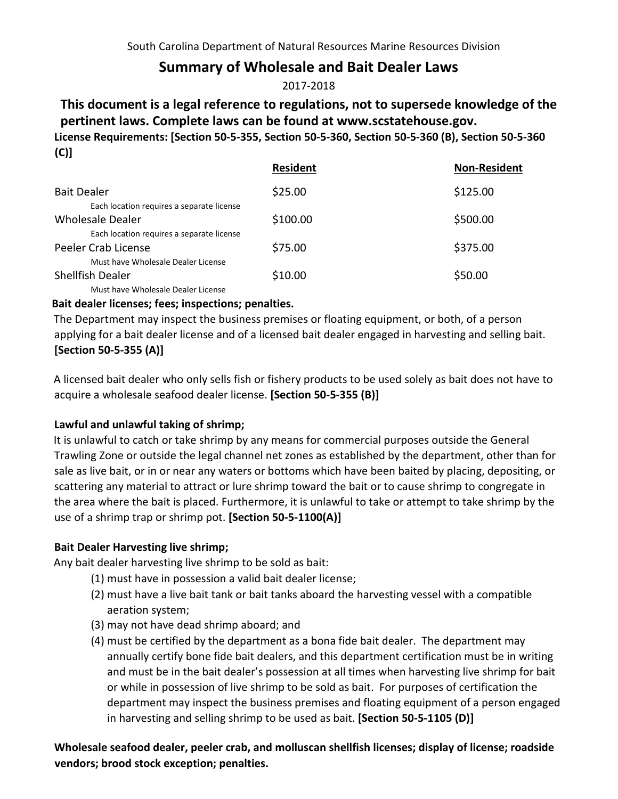# **Summary of Wholesale and Bait Dealer Laws**

### 2017-2018

## **This document is a legal reference to regulations, not to supersede knowledge of the pertinent laws. Complete laws can be found at www.scstatehouse.gov. License Requirements: [Section 50-5-355, Section 50-5-360, Section 50-5-360 (B), Section 50-5-360 (C)]**

|                                           | <b>Resident</b> | <b>Non-Resident</b> |
|-------------------------------------------|-----------------|---------------------|
| <b>Bait Dealer</b>                        | \$25.00         | \$125.00            |
| Each location requires a separate license |                 |                     |
| Wholesale Dealer                          | \$100.00        | \$500.00            |
| Each location requires a separate license |                 |                     |
| Peeler Crab License                       | \$75.00         | \$375.00            |
| Must have Wholesale Dealer License        |                 |                     |
| <b>Shellfish Dealer</b>                   | \$10.00         | \$50.00             |
| Must have Wholesale Dealer License        |                 |                     |

#### **Bait dealer licenses; fees; inspections; penalties.**

The Department may inspect the business premises or floating equipment, or both, of a person applying for a bait dealer license and of a licensed bait dealer engaged in harvesting and selling bait. **[Section 50-5-355 (A)]**

A licensed bait dealer who only sells fish or fishery products to be used solely as bait does not have to acquire a wholesale seafood dealer license. **[Section 50-5-355 (B)]** 

### **Lawful and unlawful taking of shrimp;**

It is unlawful to catch or take shrimp by any means for commercial purposes outside the General Trawling Zone or outside the legal channel net zones as established by the department, other than for sale as live bait, or in or near any waters or bottoms which have been baited by placing, depositing, or scattering any material to attract or lure shrimp toward the bait or to cause shrimp to congregate in the area where the bait is placed. Furthermore, it is unlawful to take or attempt to take shrimp by the use of a shrimp trap or shrimp pot. **[Section 50-5-1100(A)]**

### **Bait Dealer Harvesting live shrimp;**

Any bait dealer harvesting live shrimp to be sold as bait:

- (1) must have in possession a valid bait dealer license;
- (2) must have a live bait tank or bait tanks aboard the harvesting vessel with a compatible aeration system;
- (3) may not have dead shrimp aboard; and
- (4) must be certified by the department as a bona fide bait dealer. The department may annually certify bone fide bait dealers, and this department certification must be in writing and must be in the bait dealer's possession at all times when harvesting live shrimp for bait or while in possession of live shrimp to be sold as bait. For purposes of certification the department may inspect the business premises and floating equipment of a person engaged in harvesting and selling shrimp to be used as bait. **[Section 50-5-1105 (D)]**

**Wholesale seafood dealer, peeler crab, and molluscan shellfish licenses; display of license; roadside vendors; brood stock exception; penalties.**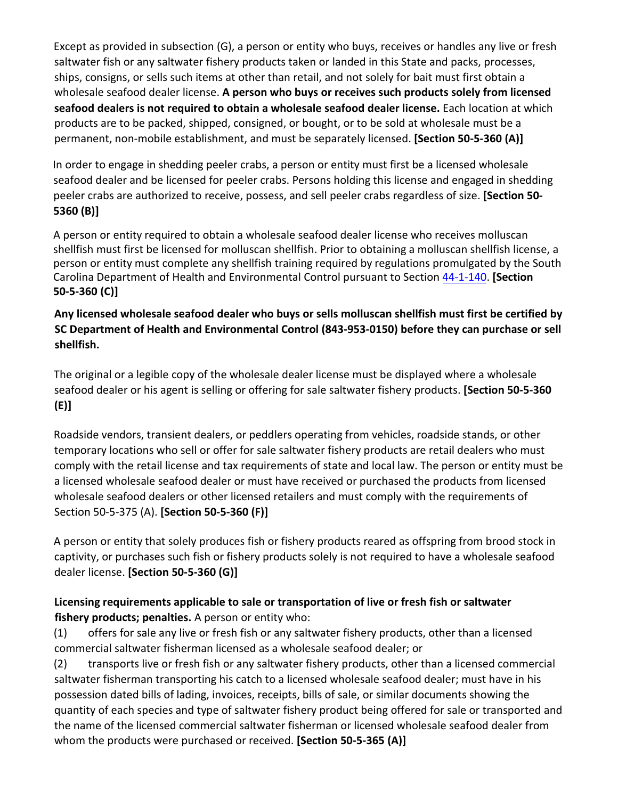Except as provided in subsection (G), a person or entity who buys, receives or handles any live or fresh saltwater fish or any saltwater fishery products taken or landed in this State and packs, processes, ships, consigns, or sells such items at other than retail, and not solely for bait must first obtain a wholesale seafood dealer license. **A person who buys or receives such products solely from licensed seafood dealers is not required to obtain a wholesale seafood dealer license.** Each location at which products are to be packed, shipped, consigned, or bought, or to be sold at wholesale must be a permanent, non-mobile establishment, and must be separately licensed. **[Section 50-5-360 (A)]** 

In order to engage in shedding peeler crabs, a person or entity must first be a licensed wholesale seafood dealer and be licensed for peeler crabs. Persons holding this license and engaged in shedding peeler crabs are authorized to receive, possess, and sell peeler crabs regardless of size. **[Section 50- 5360 (B)]**

A person or entity required to obtain a wholesale seafood dealer license who receives molluscan shellfish must first be licensed for molluscan shellfish. Prior to obtaining a molluscan shellfish license, a person or entity must complete any shellfish training required by regulations promulgated by the South Carolina Department of Health and Environmental Control pursuant [to Section](http://www.scstatehouse.gov/code/t44c001.php#44-1-140) 44-1-140. **[Section 50-5-360 (C)]** 

#### **Any licensed wholesale seafood dealer who buys or sells molluscan shellfish must first be certified by SC Department of Health and Environmental Control (843-953-0150) before they can purchase or sell shellfish.**

The original or a legible copy of the wholesale dealer license must be displayed where a wholesale seafood dealer or his agent is selling or offering for sale saltwater fishery products. **[Section 50-5-360 (E)]** 

Roadside vendors, transient dealers, or peddlers operating from vehicles, roadside stands, or other temporary locations who sell or offer for sale saltwater fishery products are retail dealers who must comply with the retail license and tax requirements of state and local law. The person or entity must be a licensed wholesale seafood dealer or must have received or purchased the products from licensed wholesale seafood dealers or other licensed retailers and must comply with the requirements of Section 50-5-375 (A). **[Section 50-5-360 (F)]** 

A person or entity that solely produces fish or fishery products reared as offspring from brood stock in captivity, or purchases such fish or fishery products solely is not required to have a wholesale seafood dealer license. **[Section 50-5-360 (G)]** 

## **Licensing requirements applicable to sale or transportation of live or fresh fish or saltwater fishery products; penalties.** A person or entity who:

(1) offers for sale any live or fresh fish or any saltwater fishery products, other than a licensed commercial saltwater fisherman licensed as a wholesale seafood dealer; or

(2) transports live or fresh fish or any saltwater fishery products, other than a licensed commercial saltwater fisherman transporting his catch to a licensed wholesale seafood dealer; must have in his possession dated bills of lading, invoices, receipts, bills of sale, or similar documents showing the quantity of each species and type of saltwater fishery product being offered for sale or transported and the name of the licensed commercial saltwater fisherman or licensed wholesale seafood dealer from whom the products were purchased or received. **[Section 50-5-365 (A)]**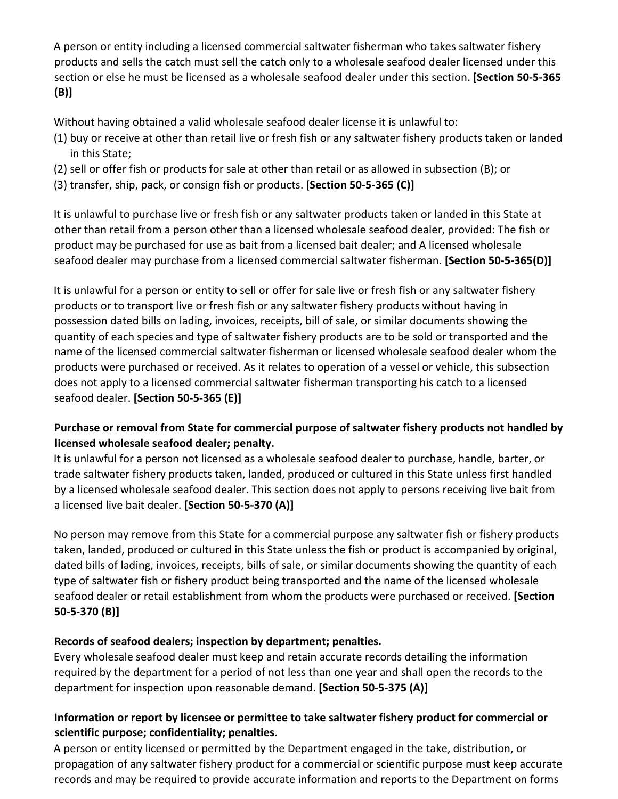A person or entity including a licensed commercial saltwater fisherman who takes saltwater fishery products and sells the catch must sell the catch only to a wholesale seafood dealer licensed under this section or else he must be licensed as a wholesale seafood dealer under this section. **[Section 50-5-365 (B)]** 

Without having obtained a valid wholesale seafood dealer license it is unlawful to:

- (1) buy or receive at other than retail live or fresh fish or any saltwater fishery products taken or landed in this State;
- (2) sell or offer fish or products for sale at other than retail or as allowed in subsection (B); or
- (3) transfer, ship, pack, or consign fish or products. [**Section 50-5-365 (C)]**

It is unlawful to purchase live or fresh fish or any saltwater products taken or landed in this State at other than retail from a person other than a licensed wholesale seafood dealer, provided: The fish or product may be purchased for use as bait from a licensed bait dealer; and A licensed wholesale seafood dealer may purchase from a licensed commercial saltwater fisherman. **[Section 50-5-365(D)]** 

It is unlawful for a person or entity to sell or offer for sale live or fresh fish or any saltwater fishery products or to transport live or fresh fish or any saltwater fishery products without having in possession dated bills on lading, invoices, receipts, bill of sale, or similar documents showing the quantity of each species and type of saltwater fishery products are to be sold or transported and the name of the licensed commercial saltwater fisherman or licensed wholesale seafood dealer whom the products were purchased or received. As it relates to operation of a vessel or vehicle, this subsection does not apply to a licensed commercial saltwater fisherman transporting his catch to a licensed seafood dealer. **[Section 50-5-365 (E)]** 

## **Purchase or removal from State for commercial purpose of saltwater fishery products not handled by licensed wholesale seafood dealer; penalty.**

It is unlawful for a person not licensed as a wholesale seafood dealer to purchase, handle, barter, or trade saltwater fishery products taken, landed, produced or cultured in this State unless first handled by a licensed wholesale seafood dealer. This section does not apply to persons receiving live bait from a licensed live bait dealer. **[Section 50-5-370 (A)]** 

No person may remove from this State for a commercial purpose any saltwater fish or fishery products taken, landed, produced or cultured in this State unless the fish or product is accompanied by original, dated bills of lading, invoices, receipts, bills of sale, or similar documents showing the quantity of each type of saltwater fish or fishery product being transported and the name of the licensed wholesale seafood dealer or retail establishment from whom the products were purchased or received. **[Section 50-5-370 (B)]** 

### **Records of seafood dealers; inspection by department; penalties.**

Every wholesale seafood dealer must keep and retain accurate records detailing the information required by the department for a period of not less than one year and shall open the records to the department for inspection upon reasonable demand. **[Section 50-5-375 (A)]** 

## **Information or report by licensee or permittee to take saltwater fishery product for commercial or scientific purpose; confidentiality; penalties.**

A person or entity licensed or permitted by the Department engaged in the take, distribution, or propagation of any saltwater fishery product for a commercial or scientific purpose must keep accurate records and may be required to provide accurate information and reports to the Department on forms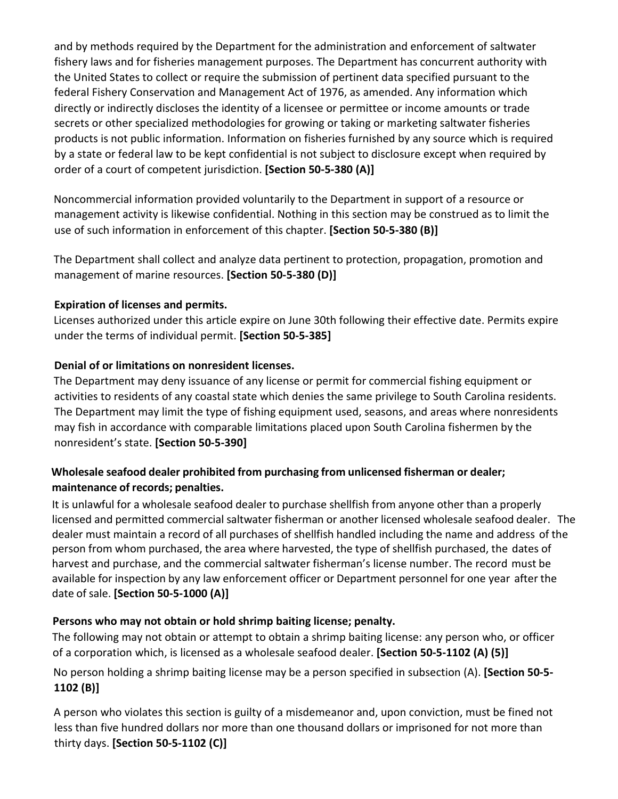and by methods required by the Department for the administration and enforcement of saltwater fishery laws and for fisheries management purposes. The Department has concurrent authority with the United States to collect or require the submission of pertinent data specified pursuant to the federal Fishery Conservation and Management Act of 1976, as amended. Any information which directly or indirectly discloses the identity of a licensee or permittee or income amounts or trade secrets or other specialized methodologies for growing or taking or marketing saltwater fisheries products is not public information. Information on fisheries furnished by any source which is required by a state or federal law to be kept confidential is not subject to disclosure except when required by order of a court of competent jurisdiction. **[Section 50-5-380 (A)]** 

Noncommercial information provided voluntarily to the Department in support of a resource or management activity is likewise confidential. Nothing in this section may be construed as to limit the use of such information in enforcement of this chapter. **[Section 50-5-380 (B)]** 

The Department shall collect and analyze data pertinent to protection, propagation, promotion and management of marine resources. **[Section 50-5-380 (D)]** 

#### **Expiration of licenses and permits.**

Licenses authorized under this article expire on June 30th following their effective date. Permits expire under the terms of individual permit. **[Section 50-5-385]** 

#### **Denial of or limitations on nonresident licenses.**

The Department may deny issuance of any license or permit for commercial fishing equipment or activities to residents of any coastal state which denies the same privilege to South Carolina residents. The Department may limit the type of fishing equipment used, seasons, and areas where nonresidents may fish in accordance with comparable limitations placed upon South Carolina fishermen by the nonresident's state. **[Section 50-5-390]** 

## **Wholesale seafood dealer prohibited from purchasing from unlicensed fisherman or dealer; maintenance of records; penalties.**

It is unlawful for a wholesale seafood dealer to purchase shellfish from anyone other than a properly licensed and permitted commercial saltwater fisherman or another licensed wholesale seafood dealer. The dealer must maintain a record of all purchases of shellfish handled including the name and address of the person from whom purchased, the area where harvested, the type of shellfish purchased, the dates of harvest and purchase, and the commercial saltwater fisherman's license number. The record must be available for inspection by any law enforcement officer or Department personnel for one year after the date ofsale. **[Section 50-5-1000 (A)]**

### **Persons who may not obtain or hold shrimp baiting license; penalty.**

The following may not obtain or attempt to obtain a shrimp baiting license: any person who, or officer of a corporation which, is licensed as a wholesale seafood dealer. **[Section 50-5-1102 (A) (5)]** 

### No person holding a shrimp baiting license may be a person specified in subsection (A). **[Section 50-5- 1102 (B)]**

A person who violates this section is guilty of a misdemeanor and, upon conviction, must be fined not less than five hundred dollars nor more than one thousand dollars or imprisoned for not more than thirty days. **[Section 50-5-1102 (C)]**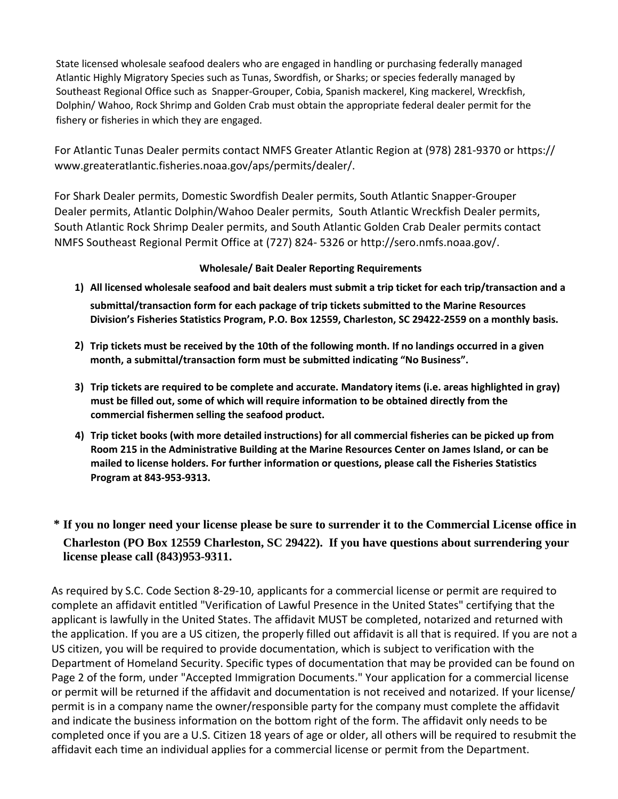State licensed wholesale seafood dealers who are engaged in handling or purchasing federally managed Atlantic Highly Migratory Species such as Tunas, Swordfish, or Sharks; or species federally managed by Southeast Regional Office such as Snapper-Grouper, Cobia, Spanish mackerel, King mackerel, Wreckfish, Dolphin/ Wahoo, Rock Shrimp and Golden Crab must obtain the appropriate federal dealer permit for the fishery or fisheries in which they are engaged.

For Atlantic Tunas Dealer permits contact NMFS Greater Atlantic Region at (978) 281-9370 or https:// www.greateratlantic.fisheries.noaa.gov/aps/permits/dealer/.

For Shark Dealer permits, Domestic Swordfish Dealer permits, South Atlantic Snapper-Grouper Dealer permits, Atlantic Dolphin/Wahoo Dealer permits, South Atlantic Wreckfish Dealer permits, South Atlantic Rock Shrimp Dealer permits, and South Atlantic Golden Crab Dealer permits contact NMFS Southeast Regional Permit Office at (727) 824- 5326 or http://sero.nmfs.noaa.gov/.

#### **Wholesale/ Bait Dealer Reporting Requirements**

**1) All licensed wholesale seafood and bait dealers must submit a trip ticket for each trip/transaction and a**

**submittal/transaction form for each package of trip tickets submitted to the Marine Resources Division's Fisheries Statistics Program, P.O. Box 12559, Charleston, SC 29422-2559 on a monthly basis.**

- **2) Trip tickets must be received by the 10th of the following month. If no landings occurred in a given month, a submittal/transaction form must be submitted indicating "No Business".**
- **3) Trip tickets are required to be complete and accurate. Mandatory items (i.e. areas highlighted in gray) must be filled out, some of which will require information to be obtained directly from the commercial fishermen selling the seafood product.**
- **4) Trip ticket books (with more detailed instructions) for all commercial fisheries can be picked up from Room 215 in the Administrative Building at the Marine Resources Center on James Island, or can be mailed to license holders. For further information or questions, please call the Fisheries Statistics Program at 843-953-9313.**

## **\* If you no longer need your license please be sure to surrender it to the Commercial License office in Charleston (PO Box 12559 Charleston, SC 29422). If you have questions about surrendering your license please call (843)953-9311.**

As required by S.C. Code Section 8-29-10, applicants for a commercial license or permit are required to complete an affidavit entitled "Verification of Lawful Presence in the United States" certifying that the applicant is lawfully in the United States. The affidavit MUST be completed, notarized and returned with the application. If you are a US citizen, the properly filled out affidavit is all that is required. If you are not a US citizen, you will be required to provide documentation, which is subject to verification with the Department of Homeland Security. Specific types of documentation that may be provided can be found on Page 2 of the form, under "Accepted Immigration Documents." Your application for a commercial license or permit will be returned if the affidavit and documentation is not received and notarized. If your license/ permit is in a company name the owner/responsible party for the company must complete the affidavit and indicate the business information on the bottom right of the form. The affidavit only needs to be completed once if you are a U.S. Citizen 18 years of age or older, all others will be required to resubmit the affidavit each time an individual applies for a commercial license or permit from the Department.